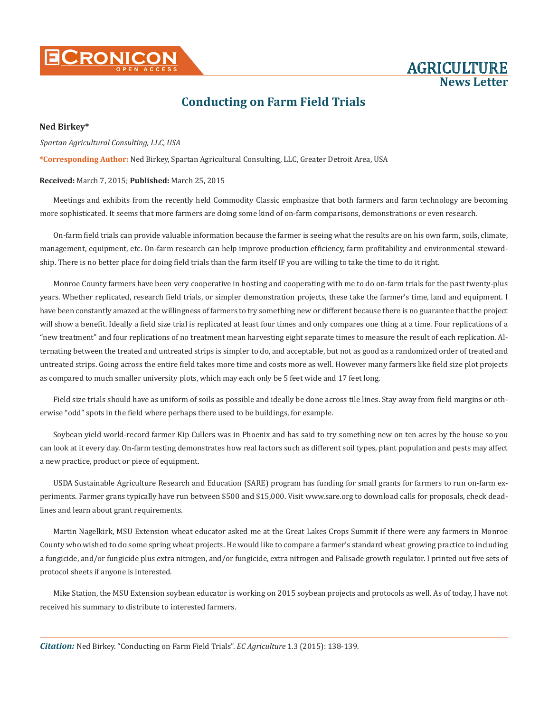**CRONICO** 

AGRICULTURE **News Letter**

# **Conducting on Farm Field Trials**

### **Ned Birkey\***

#### *Spartan Agricultural Consulting, LLC, USA*

**\*Corresponding Author:** Ned Birkey, Spartan Agricultural Consulting, LLC, Greater Detroit Area, USA

#### **Received:** March 7, 2015; **Published:** March 25, 2015

Meetings and exhibits from the recently held Commodity Classic emphasize that both farmers and farm technology are becoming more sophisticated. It seems that more farmers are doing some kind of on-farm comparisons, demonstrations or even research.

On-farm field trials can provide valuable information because the farmer is seeing what the results are on his own farm, soils, climate, management, equipment, etc. On-farm research can help improve production efficiency, farm profitability and environmental stewardship. There is no better place for doing field trials than the farm itself IF you are willing to take the time to do it right.

Monroe County farmers have been very cooperative in hosting and cooperating with me to do on-farm trials for the past twenty-plus years. Whether replicated, research field trials, or simpler demonstration projects, these take the farmer's time, land and equipment. I have been constantly amazed at the willingness of farmers to try something new or different because there is no guarantee that the project will show a benefit. Ideally a field size trial is replicated at least four times and only compares one thing at a time. Four replications of a "new treatment" and four replications of no treatment mean harvesting eight separate times to measure the result of each replication. Alternating between the treated and untreated strips is simpler to do, and acceptable, but not as good as a randomized order of treated and untreated strips. Going across the entire field takes more time and costs more as well. However many farmers like field size plot projects as compared to much smaller university plots, which may each only be 5 feet wide and 17 feet long.

Field size trials should have as uniform of soils as possible and ideally be done across tile lines. Stay away from field margins or otherwise "odd" spots in the field where perhaps there used to be buildings, for example.

Soybean yield world-record farmer Kip Cullers was in Phoenix and has said to try something new on ten acres by the house so you can look at it every day. On-farm testing demonstrates how real factors such as different soil types, plant population and pests may affect a new practice, product or piece of equipment.

USDA Sustainable Agriculture Research and Education (SARE) program has funding for small grants for farmers to run on-farm experiments. Farmer grans typically have run between \$500 and \$15,000. Visit www.sare.org to download calls for proposals, check deadlines and learn about grant requirements.

Martin Nagelkirk, MSU Extension wheat educator asked me at the Great Lakes Crops Summit if there were any farmers in Monroe County who wished to do some spring wheat projects. He would like to compare a farmer's standard wheat growing practice to including a fungicide, and/or fungicide plus extra nitrogen, and/or fungicide, extra nitrogen and Palisade growth regulator. I printed out five sets of protocol sheets if anyone is interested.

Mike Station, the MSU Extension soybean educator is working on 2015 soybean projects and protocols as well. As of today, I have not received his summary to distribute to interested farmers.